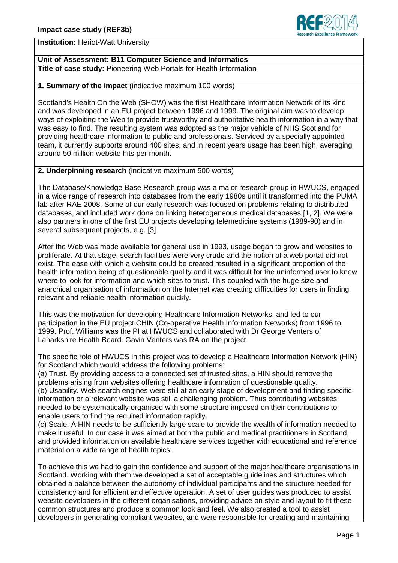

**Institution:** Heriot-Watt University

**Unit of Assessment: B11 Computer Science and Informatics Title of case study:** Pioneering Web Portals for Health Information

**1. Summary of the impact** (indicative maximum 100 words)

Scotland's Health On the Web (SHOW) was the first Healthcare Information Network of its kind and was developed in an EU project between 1996 and 1999. The original aim was to develop ways of exploiting the Web to provide trustworthy and authoritative health information in a way that was easy to find. The resulting system was adopted as the major vehicle of NHS Scotland for providing healthcare information to public and professionals. Serviced by a specially appointed team, it currently supports around 400 sites, and in recent years usage has been high, averaging around 50 million website hits per month.

**2. Underpinning research** (indicative maximum 500 words)

The Database/Knowledge Base Research group was a major research group in HWUCS, engaged in a wide range of research into databases from the early 1980s until it transformed into the PUMA lab after RAE 2008. Some of our early research was focused on problems relating to distributed databases, and included work done on linking heterogeneous medical databases [1, 2]. We were also partners in one of the first EU projects developing telemedicine systems (1989-90) and in several subsequent projects, e.g. [3].

After the Web was made available for general use in 1993, usage began to grow and websites to proliferate. At that stage, search facilities were very crude and the notion of a web portal did not exist. The ease with which a website could be created resulted in a significant proportion of the health information being of questionable quality and it was difficult for the uninformed user to know where to look for information and which sites to trust. This coupled with the huge size and anarchical organisation of information on the Internet was creating difficulties for users in finding relevant and reliable health information quickly.

This was the motivation for developing Healthcare Information Networks, and led to our participation in the EU project CHIN (Co-operative Health Information Networks) from 1996 to 1999. Prof. Williams was the PI at HWUCS and collaborated with Dr George Venters of Lanarkshire Health Board. Gavin Venters was RA on the project.

The specific role of HWUCS in this project was to develop a Healthcare Information Network (HIN) for Scotland which would address the following problems:

(a) Trust. By providing access to a connected set of trusted sites, a HIN should remove the problems arising from websites offering healthcare information of questionable quality. (b) Usability. Web search engines were still at an early stage of development and finding specific information or a relevant website was still a challenging problem. Thus contributing websites needed to be systematically organised with some structure imposed on their contributions to enable users to find the required information rapidly.

(c) Scale. A HIN needs to be sufficiently large scale to provide the wealth of information needed to make it useful. In our case it was aimed at both the public and medical practitioners in Scotland, and provided information on available healthcare services together with educational and reference material on a wide range of health topics.

To achieve this we had to gain the confidence and support of the major healthcare organisations in Scotland. Working with them we developed a set of acceptable guidelines and structures which obtained a balance between the autonomy of individual participants and the structure needed for consistency and for efficient and effective operation. A set of user guides was produced to assist website developers in the different organisations, providing advice on style and layout to fit these common structures and produce a common look and feel. We also created a tool to assist developers in generating compliant websites, and were responsible for creating and maintaining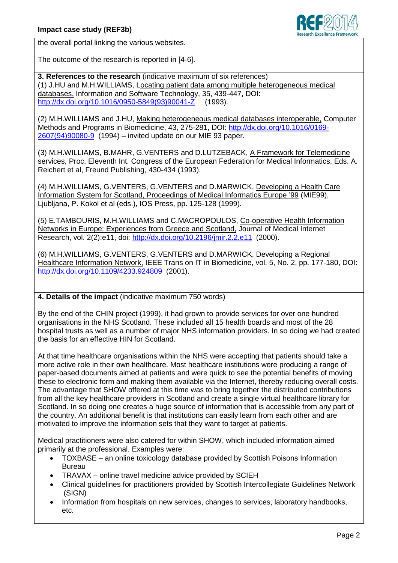

the overall portal linking the various websites.

The outcome of the research is reported in [4-6].

**3. References to the research** (indicative maximum of six references) (1) J.HU and M.H.WILLIAMS, Locating patient data among multiple heterogeneous medical databases, Information and Software Technology, 35, 439-447, DOI: [http://dx.doi.org/10.1016/0950-5849\(93\)90041-Z](http://dx.doi.org/10.1016/0950-5849(93)90041-Z) (1993).

(2) M.H.WILLIAMS and J.HU, Making heterogeneous medical databases interoperable, Computer Methods and Programs in Biomedicine, 43, 275-281, DOI: [http://dx.doi.org/10.1016/0169-](http://dx.doi.org/10.1016/0169-2607(94)90080-9) [2607\(94\)90080-9](http://dx.doi.org/10.1016/0169-2607(94)90080-9) (1994) – invited update on our MIE 93 paper.

(3) M.H.WILLIAMS, B.MAHR, G.VENTERS and D.LUTZEBACK, A Framework for Telemedicine services, Proc. Eleventh Int. Congress of the European Federation for Medical Informatics, Eds. A. Reichert et al, Freund Publishing, 430-434 (1993).

(4) M.H.WILLIAMS, G.VENTERS, G.VENTERS and D.MARWICK, Developing a Health Care Information System for Scotland, Proceedings of Medical Informatics Europe '99 (MIE99), Ljubljana, P. Kokol et al (eds.), IOS Press, pp. 125-128 (1999).

(5) E.TAMBOURIS, M.H.WILLIAMS and C.MACROPOULOS, Co-operative Health Information Networks in Europe: Experiences from Greece and Scotland, Journal of Medical Internet Research, vol. 2(2):e11, doi:<http://dx.doi.org/10.2196/jmir.2.2.e11> (2000).

(6) M.H.WILLIAMS, G.VENTERS, G.VENTERS and D.MARWICK, Developing a Regional Healthcare Information Network, IEEE Trans on IT in Biomedicine, vol. 5, No. 2, pp. 177-180, DOI: <http://dx.doi.org/10.1109/4233.924809> (2001).

## **4. Details of the impact** (indicative maximum 750 words)

By the end of the CHIN project (1999), it had grown to provide services for over one hundred organisations in the NHS Scotland. These included all 15 health boards and most of the 28 hospital trusts as well as a number of major NHS information providers. In so doing we had created the basis for an effective HIN for Scotland.

At that time healthcare organisations within the NHS were accepting that patients should take a more active role in their own healthcare. Most healthcare institutions were producing a range of paper-based documents aimed at patients and were quick to see the potential benefits of moving these to electronic form and making them available via the Internet, thereby reducing overall costs. The advantage that SHOW offered at this time was to bring together the distributed contributions from all the key healthcare providers in Scotland and create a single virtual healthcare library for Scotland. In so doing one creates a huge source of information that is accessible from any part of the country. An additional benefit is that institutions can easily learn from each other and are motivated to improve the information sets that they want to target at patients.

Medical practitioners were also catered for within SHOW, which included information aimed primarily at the professional. Examples were:

- TOXBASE an online toxicology database provided by Scottish Poisons Information Bureau
- TRAVAX online travel medicine advice provided by SCIEH
- Clinical guidelines for practitioners provided by Scottish Intercollegiate Guidelines Network (SIGN)
- Information from hospitals on new services, changes to services, laboratory handbooks, etc.